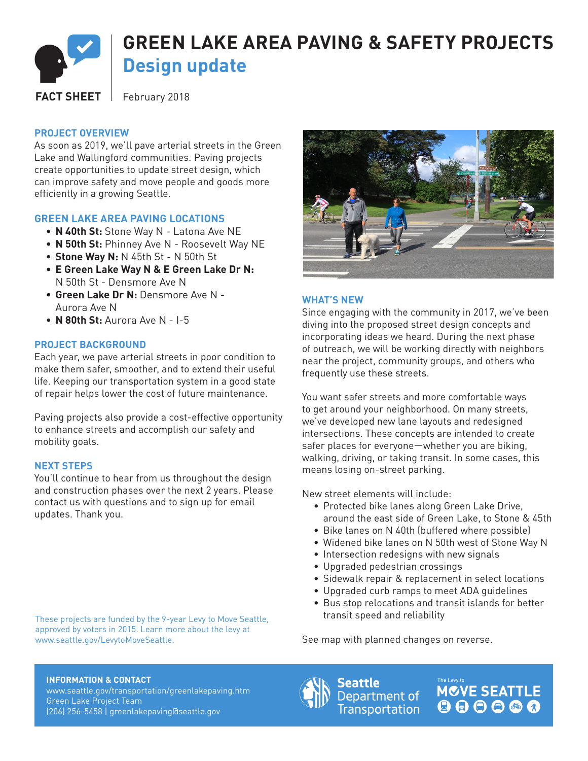

# **PROJECT OVERVIEW**

As soon as 2019, we'll pave arterial streets in the Green Lake and Wallingford communities. Paving projects create opportunities to update street design, which can improve safety and move people and goods more efficiently in a growing Seattle.

# **GREEN LAKE AREA PAVING LOCATIONS**

- **N 40th St:** Stone Way N Latona Ave NE
- **N 50th St:** Phinney Ave N Roosevelt Way NE
- **Stone Way N:** N 45th St N 50th St
- **E Green Lake Way N & E Green Lake Dr N:** N 50th St - Densmore Ave N
- **Green Lake Dr N:** Densmore Ave N Aurora Ave N
- **N 80th St:** Aurora Ave N I-5

### **PROJECT BACKGROUND**

Each year, we pave arterial streets in poor condition to make them safer, smoother, and to extend their useful life. Keeping our transportation system in a good state of repair helps lower the cost of future maintenance.

Paving projects also provide a cost-effective opportunity to enhance streets and accomplish our safety and mobility goals.

### **NEXT STEPS**

You'll continue to hear from us throughout the design and construction phases over the next 2 years. Please contact us with questions and to sign up for email updates. Thank you.

These projects are funded by the 9-year Levy to Move Seattle, approved by voters in 2015. Learn more about the levy at www.seattle.gov/LevytoMoveSeattle.



# **WHAT'S NEW**

Since engaging with the community in 2017, we've been diving into the proposed street design concepts and incorporating ideas we heard. During the next phase of outreach, we will be working directly with neighbors near the project, community groups, and others who frequently use these streets.

You want safer streets and more comfortable ways to get around your neighborhood. On many streets, we've developed new lane layouts and redesigned intersections. These concepts are intended to create safer places for everyone—whether you are biking, walking, driving, or taking transit. In some cases, this means losing on-street parking.

New street elements will include:

- Protected bike lanes along Green Lake Drive, around the east side of Green Lake, to Stone & 45th
- Bike lanes on N 40th (buffered where possible)
- Widened bike lanes on N 50th west of Stone Way N
- Intersection redesigns with new signals
- Upgraded pedestrian crossings
- Sidewalk repair & replacement in select locations
- Upgraded curb ramps to meet ADA guidelines
- Bus stop relocations and transit islands for better transit speed and reliability

See map with planned changes on reverse.

#### **INFORMATION & CONTACT**

www.seattle.gov/transportation/greenlakepaving.htm Green Lake Project Team (206) 256-5458 | greenlakepaving@seattle.gov



Seattle Department of **Transportation**  **MCVE SEATTLE** 000000